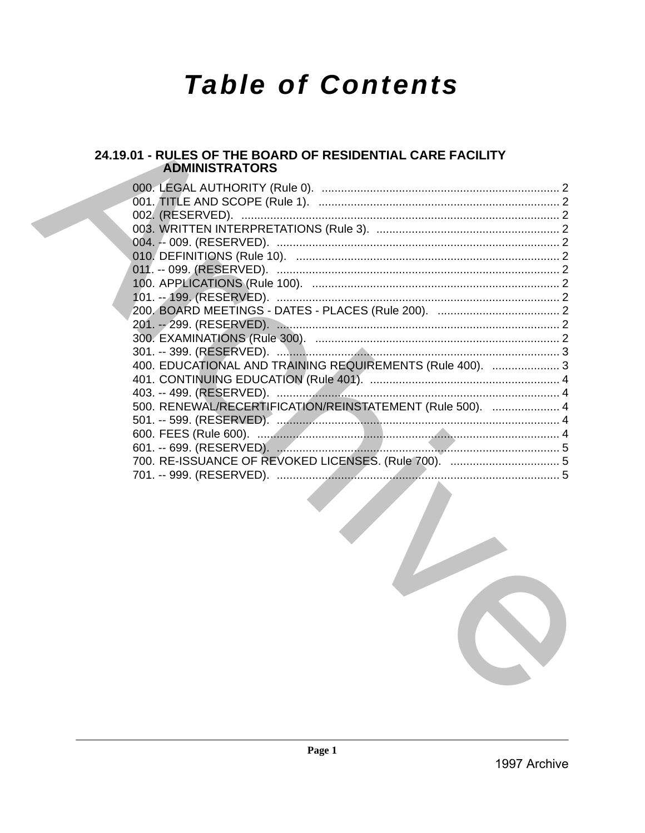# **Table of Contents**

# 24.19.01 - RULES OF THE BOARD OF RESIDENTIAL CARE FACILITY **ADMINISTRATORS**

| 400. EDUCATIONAL AND TRAINING REQUIREMENTS (Rule 400).  3 |  |
|-----------------------------------------------------------|--|
|                                                           |  |
|                                                           |  |
| 500. RENEWAL/RECERTIFICATION/REINSTATEMENT (Rule 500).  4 |  |
|                                                           |  |
|                                                           |  |
|                                                           |  |
|                                                           |  |
|                                                           |  |
|                                                           |  |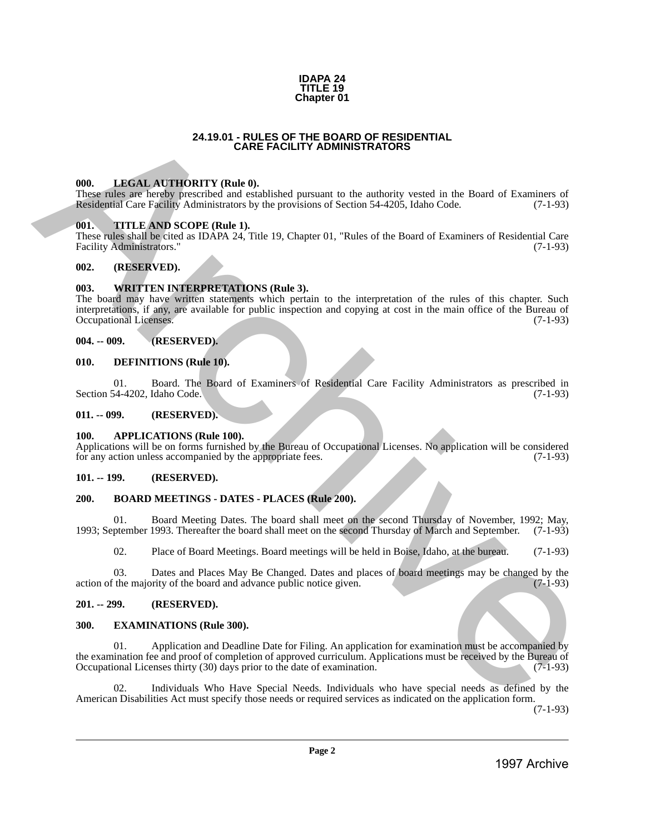#### **IDAPA 24 TITLE 19 Chapter 01**

### **24.19.01 - RULES OF THE BOARD OF RESIDENTIAL CARE FACILITY ADMINISTRATORS**

## <span id="page-1-1"></span>**000. LEGAL AUTHORITY (Rule 0).**

These rules are hereby prescribed and established pursuant to the authority vested in the Board of Examiners of Residential Care Facility Administrators by the provisions of Section 54-4205, Idaho Code. (7-1-93)

### <span id="page-1-2"></span>**001. TITLE AND SCOPE (Rule 1).**

These rules shall be cited as IDAPA 24, Title 19, Chapter 01, "Rules of the Board of Examiners of Residential Care Facility Administrators." (7-1-93)

#### <span id="page-1-3"></span>**002. (RESERVED).**

#### <span id="page-1-4"></span>**003. WRITTEN INTERPRETATIONS (Rule 3).**

<span id="page-1-0"></span>The board may have written statements which pertain to the interpretation of the rules of this chapter. Such interpretations, if any, are available for public inspection and copying at cost in the main office of the Bureau of Occupational Licenses. 24.19.0 CME THURS (RETERVIENT BARRO DE RESIDENTAL<br>
1998. LIHERAL ATTIONITY (READ),<br>
Theoretical Science Archive Archive Archive Archive Archive Archive Archive Archive Archive Archive Archive Archive Archive Archive Archi

#### <span id="page-1-5"></span>**004. -- 009. (RESERVED).**

#### <span id="page-1-6"></span>**010. DEFINITIONS (Rule 10).**

01. Board. The Board of Examiners of Residential Care Facility Administrators as prescribed in 54-4202, Idaho Code. (7-1-93) Section 54-4202, Idaho Code.

#### <span id="page-1-7"></span>**011. -- 099. (RESERVED).**

#### <span id="page-1-8"></span>**100. APPLICATIONS (Rule 100).**

Applications will be on forms furnished by the Bureau of Occupational Licenses. No application will be considered for any action unless accompanied by the appropriate fees. (7-1-93)

#### <span id="page-1-9"></span>**101. -- 199. (RESERVED).**

#### <span id="page-1-10"></span>**200. BOARD MEETINGS - DATES - PLACES (Rule 200).**

01. Board Meeting Dates. The board shall meet on the second Thursday of November, 1992; May, ptember 1993. Thereafter the board shall meet on the second Thursday of March and September. (7-1-93) 1993; September 1993. Thereafter the board shall meet on the second Thursday of March and September.

02. Place of Board Meetings. Board meetings will be held in Boise, Idaho, at the bureau. (7-1-93)

03. Dates and Places May Be Changed. Dates and places of board meetings may be changed by the the majority of the board and advance public notice given. (7-1-93) action of the majority of the board and advance public notice given.

#### <span id="page-1-11"></span>**201. -- 299. (RESERVED).**

#### <span id="page-1-12"></span>**300. EXAMINATIONS (Rule 300).**

01. Application and Deadline Date for Filing. An application for examination must be accompanied by the examination fee and proof of completion of approved curriculum. Applications must be received by the Bureau of Occupational Licenses thirty (30) days prior to the date of examination. (7-1-93) Occupational Licenses thirty (30) days prior to the date of examination.

Individuals Who Have Special Needs. Individuals who have special needs as defined by the American Disabilities Act must specify those needs or required services as indicated on the application form.

(7-1-93)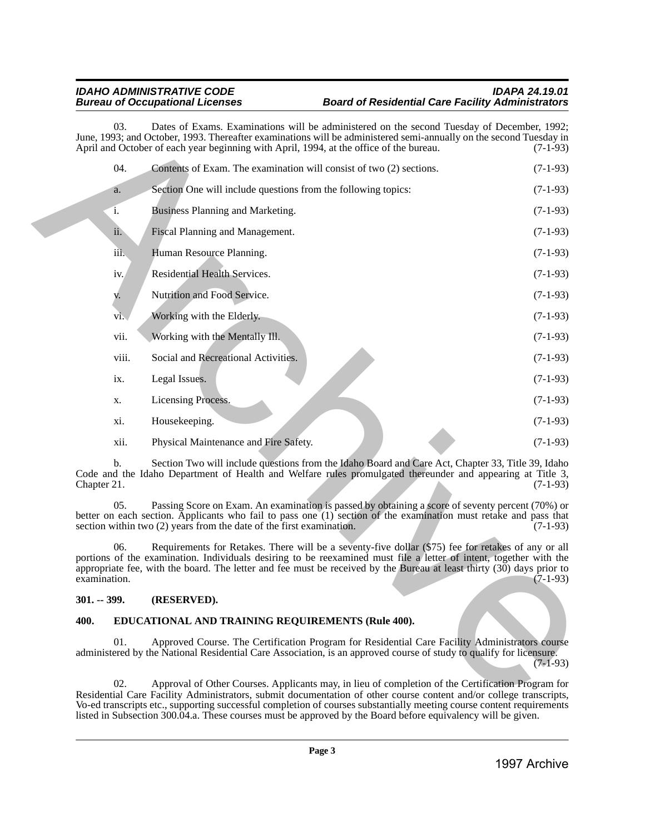# *IDAHO ADMINISTRATIVE CODE IDAPA 24.19.01* **Board of Residential Care Facility Administrators**

| 03.                                                                                                                                                                                                                                                                                                                                                                                    | Dates of Exams. Examinations will be administered on the second Tuesday of December, 1992;<br>June, 1993; and October, 1993. Thereafter examinations will be administered semi-annually on the second Tuesday in<br>April and October of each year beginning with April, 1994, at the office of the bureau.                                                                                                                                                      | $(7-1-93)$   |  |  |
|----------------------------------------------------------------------------------------------------------------------------------------------------------------------------------------------------------------------------------------------------------------------------------------------------------------------------------------------------------------------------------------|------------------------------------------------------------------------------------------------------------------------------------------------------------------------------------------------------------------------------------------------------------------------------------------------------------------------------------------------------------------------------------------------------------------------------------------------------------------|--------------|--|--|
| 04.                                                                                                                                                                                                                                                                                                                                                                                    | Contents of Exam. The examination will consist of two (2) sections.                                                                                                                                                                                                                                                                                                                                                                                              | $(7-1-93)$   |  |  |
| a.                                                                                                                                                                                                                                                                                                                                                                                     | Section One will include questions from the following topics:                                                                                                                                                                                                                                                                                                                                                                                                    | $(7-1-93)$   |  |  |
| i.                                                                                                                                                                                                                                                                                                                                                                                     | Business Planning and Marketing.                                                                                                                                                                                                                                                                                                                                                                                                                                 | $(7-1-93)$   |  |  |
| ii.                                                                                                                                                                                                                                                                                                                                                                                    | Fiscal Planning and Management.                                                                                                                                                                                                                                                                                                                                                                                                                                  | $(7-1-93)$   |  |  |
| iii.                                                                                                                                                                                                                                                                                                                                                                                   | Human Resource Planning.                                                                                                                                                                                                                                                                                                                                                                                                                                         | $(7-1-93)$   |  |  |
| iv.                                                                                                                                                                                                                                                                                                                                                                                    | Residential Health Services.                                                                                                                                                                                                                                                                                                                                                                                                                                     | $(7-1-93)$   |  |  |
| v.                                                                                                                                                                                                                                                                                                                                                                                     | Nutrition and Food Service.                                                                                                                                                                                                                                                                                                                                                                                                                                      | $(7-1-93)$   |  |  |
| $Vi$ .                                                                                                                                                                                                                                                                                                                                                                                 | Working with the Elderly.                                                                                                                                                                                                                                                                                                                                                                                                                                        | $(7-1-93)$   |  |  |
| vii.                                                                                                                                                                                                                                                                                                                                                                                   | Working with the Mentally Ill.                                                                                                                                                                                                                                                                                                                                                                                                                                   | $(7-1-93)$   |  |  |
| viii.                                                                                                                                                                                                                                                                                                                                                                                  | Social and Recreational Activities.                                                                                                                                                                                                                                                                                                                                                                                                                              | $(7-1-93)$   |  |  |
| $\mathbf{1} \mathbf{X}$ .                                                                                                                                                                                                                                                                                                                                                              | Legal Issues.                                                                                                                                                                                                                                                                                                                                                                                                                                                    | $(7-1-93)$   |  |  |
| X.                                                                                                                                                                                                                                                                                                                                                                                     | Licensing Process.                                                                                                                                                                                                                                                                                                                                                                                                                                               | $(7-1-93)$   |  |  |
| xi.                                                                                                                                                                                                                                                                                                                                                                                    | Housekeeping.                                                                                                                                                                                                                                                                                                                                                                                                                                                    | $(7-1-93)$   |  |  |
| xii.                                                                                                                                                                                                                                                                                                                                                                                   | Physical Maintenance and Fire Safety.                                                                                                                                                                                                                                                                                                                                                                                                                            | $(7-1-93)$   |  |  |
| b.<br>Chapter 21.                                                                                                                                                                                                                                                                                                                                                                      | Section Two will include questions from the Idaho Board and Care Act, Chapter 33, Title 39, Idaho<br>Code and the Idaho Department of Health and Welfare rules promulgated thereunder and appearing at Title 3,                                                                                                                                                                                                                                                  | $(7-1-93)$   |  |  |
| 05.                                                                                                                                                                                                                                                                                                                                                                                    | Passing Score on Exam. An examination is passed by obtaining a score of seventy percent (70%) or<br>better on each section. Applicants who fail to pass one (1) section of the examination must retake and pass that<br>section within two (2) years from the date of the first examination.                                                                                                                                                                     | $(7-1-93)$   |  |  |
| Requirements for Retakes. There will be a seventy-five dollar (\$75) fee for retakes of any or all<br>06.<br>portions of the examination. Individuals desiring to be reexamined must file a letter of intent, together with the<br>appropriate fee, with the board. The letter and fee must be received by the Bureau at least thirty (30) days prior to<br>examination.<br>$(7-1-93)$ |                                                                                                                                                                                                                                                                                                                                                                                                                                                                  |              |  |  |
| $301. - 399.$                                                                                                                                                                                                                                                                                                                                                                          | (RESERVED).                                                                                                                                                                                                                                                                                                                                                                                                                                                      |              |  |  |
| 400.                                                                                                                                                                                                                                                                                                                                                                                   | EDUCATIONAL AND TRAINING REQUIREMENTS (Rule 400).                                                                                                                                                                                                                                                                                                                                                                                                                |              |  |  |
| 01.                                                                                                                                                                                                                                                                                                                                                                                    | Approved Course. The Certification Program for Residential Care Facility Administrators course<br>administered by the National Residential Care Association, is an approved course of study to qualify for licensure.                                                                                                                                                                                                                                            | $(7-1-93)$   |  |  |
| 02.                                                                                                                                                                                                                                                                                                                                                                                    | Approval of Other Courses. Applicants may, in lieu of completion of the Certification Program for<br>Residential Care Facility Administrators, submit documentation of other course content and/or college transcripts,<br>Vo-ed transcripts etc., supporting successful completion of courses substantially meeting course content requirements<br>listed in Subsection 300.04.a. These courses must be approved by the Board before equivalency will be given. |              |  |  |
|                                                                                                                                                                                                                                                                                                                                                                                        | Page 3                                                                                                                                                                                                                                                                                                                                                                                                                                                           |              |  |  |
|                                                                                                                                                                                                                                                                                                                                                                                        |                                                                                                                                                                                                                                                                                                                                                                                                                                                                  | 1997 Archive |  |  |

# <span id="page-2-0"></span>**301. -- 399. (RESERVED).**

# <span id="page-2-1"></span>**400. EDUCATIONAL AND TRAINING REQUIREMENTS (Rule 400).**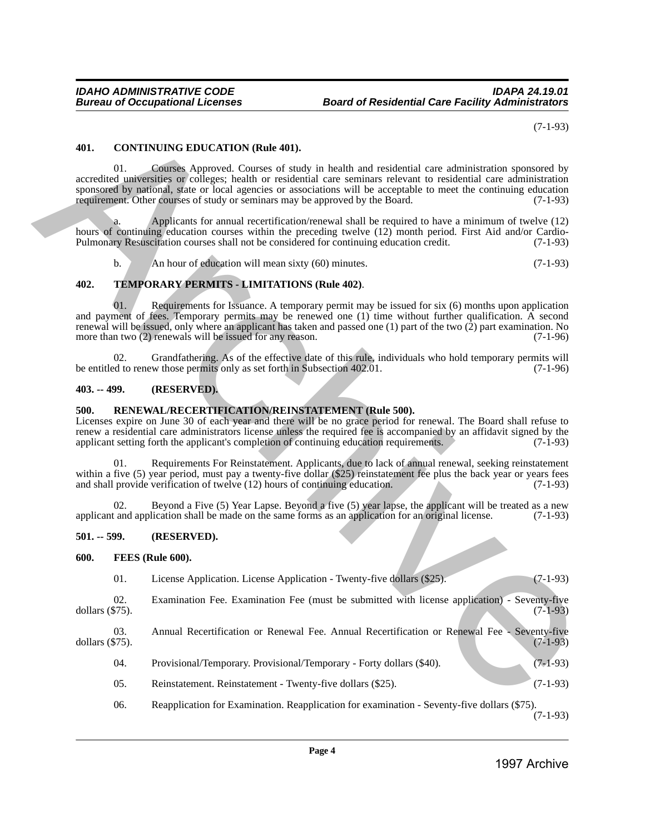# <span id="page-3-0"></span>**401. CONTINUING EDUCATION (Rule 401).**

# **402. TEMPORARY PERMITS - LIMITATIONS (Rule 402)**.

# <span id="page-3-1"></span>**403. -- 499. (RESERVED).**

# <span id="page-3-2"></span>**500. RENEWAL/RECERTIFICATION/REINSTATEMENT (Rule 500).**

# <span id="page-3-3"></span>**501. -- 599. (RESERVED).**

#### <span id="page-3-4"></span>**600. FEES (Rule 600).**

|                    |     | $(7-1-93)$                                                                                                                                                                                                                                                                                                                                                                                                                                 |
|--------------------|-----|--------------------------------------------------------------------------------------------------------------------------------------------------------------------------------------------------------------------------------------------------------------------------------------------------------------------------------------------------------------------------------------------------------------------------------------------|
| 401.               |     | <b>CONTINUING EDUCATION (Rule 401).</b>                                                                                                                                                                                                                                                                                                                                                                                                    |
|                    | 01. | Courses Approved. Courses of study in health and residential care administration sponsored by<br>accredited universities or colleges; health or residential care seminars relevant to residential care administration<br>sponsored by national, state or local agencies or associations will be acceptable to meet the continuing education<br>requirement. Other courses of study or seminars may be approved by the Board.<br>$(7-1-93)$ |
|                    | a.  | Applicants for annual recertification/renewal shall be required to have a minimum of twelve (12)<br>hours of continuing education courses within the preceding twelve (12) month period. First Aid and/or Cardio-<br>Pulmonary Resuscitation courses shall not be considered for continuing education credit.<br>$(7-1-93)$                                                                                                                |
|                    | b.  | An hour of education will mean sixty (60) minutes.<br>$(7-1-93)$                                                                                                                                                                                                                                                                                                                                                                           |
| 402.               |     | TEMPORARY PERMITS - LIMITATIONS (Rule 402).                                                                                                                                                                                                                                                                                                                                                                                                |
|                    | 01. | Requirements for Issuance. A temporary permit may be issued for six (6) months upon application<br>and payment of fees. Temporary permits may be renewed one (1) time without further qualification. A second<br>renewal will be issued, only where an applicant has taken and passed one (1) part of the two (2) part examination. No<br>more than two (2) renewals will be issued for any reason.<br>$(7-1-96)$                          |
|                    | 02. | Grandfathering. As of the effective date of this rule, individuals who hold temporary permits will<br>be entitled to renew those permits only as set forth in Subsection 402.01.<br>$(7-1-96)$                                                                                                                                                                                                                                             |
| $403. -499.$       |     | (RESERVED).                                                                                                                                                                                                                                                                                                                                                                                                                                |
| 500.               |     | RENEWAL/RECERTIFICATION/REINSTATEMENT (Rule 500).<br>Licenses expire on June 30 of each year and there will be no grace period for renewal. The Board shall refuse to<br>renew a residential care administrators license unless the required fee is accompanied by an affidavit signed by the<br>applicant setting forth the applicant's completion of continuing education requirements.<br>$(7-1-93)$                                    |
|                    | 01. | Requirements For Reinstatement. Applicants, due to lack of annual renewal, seeking reinstatement<br>within a five (5) year period, must pay a twenty-five dollar (\$25) reinstatement fee plus the back year or years fees<br>and shall provide verification of twelve (12) hours of continuing education.<br>$(7-1-93)$                                                                                                                   |
|                    | 02. | Beyond a Five (5) Year Lapse. Beyond a five (5) year lapse, the applicant will be treated as a new<br>applicant and application shall be made on the same forms as an application for an original license.<br>$(7-1-93)$                                                                                                                                                                                                                   |
| $501. - 599.$      |     | (RESERVED).                                                                                                                                                                                                                                                                                                                                                                                                                                |
| 600.               |     | FEES (Rule 600).                                                                                                                                                                                                                                                                                                                                                                                                                           |
|                    | 01. | License Application. License Application - Twenty-five dollars (\$25).<br>$(7-1-93)$                                                                                                                                                                                                                                                                                                                                                       |
| dollars $(\$75)$ . | 02. | Examination Fee. Examination Fee (must be submitted with license application) - Seventy-five<br>$(7-1-93)$                                                                                                                                                                                                                                                                                                                                 |
| dollars $(\$75)$ . | 03. | Annual Recertification or Renewal Fee. Annual Recertification or Renewal Fee - Seventy-five<br>$(7-1-93)$                                                                                                                                                                                                                                                                                                                                  |
|                    | 04. | Provisional/Temporary. Provisional/Temporary - Forty dollars (\$40).<br>$(7-1-93)$                                                                                                                                                                                                                                                                                                                                                         |
|                    | 05. | $(7-1-93)$<br>Reinstatement. Reinstatement - Twenty-five dollars (\$25).                                                                                                                                                                                                                                                                                                                                                                   |
|                    | 06. | Reapplication for Examination. Reapplication for examination - Seventy-five dollars (\$75).<br>$(7-1-93)$                                                                                                                                                                                                                                                                                                                                  |
|                    |     | Page 4                                                                                                                                                                                                                                                                                                                                                                                                                                     |
|                    |     | 1997 Archive                                                                                                                                                                                                                                                                                                                                                                                                                               |